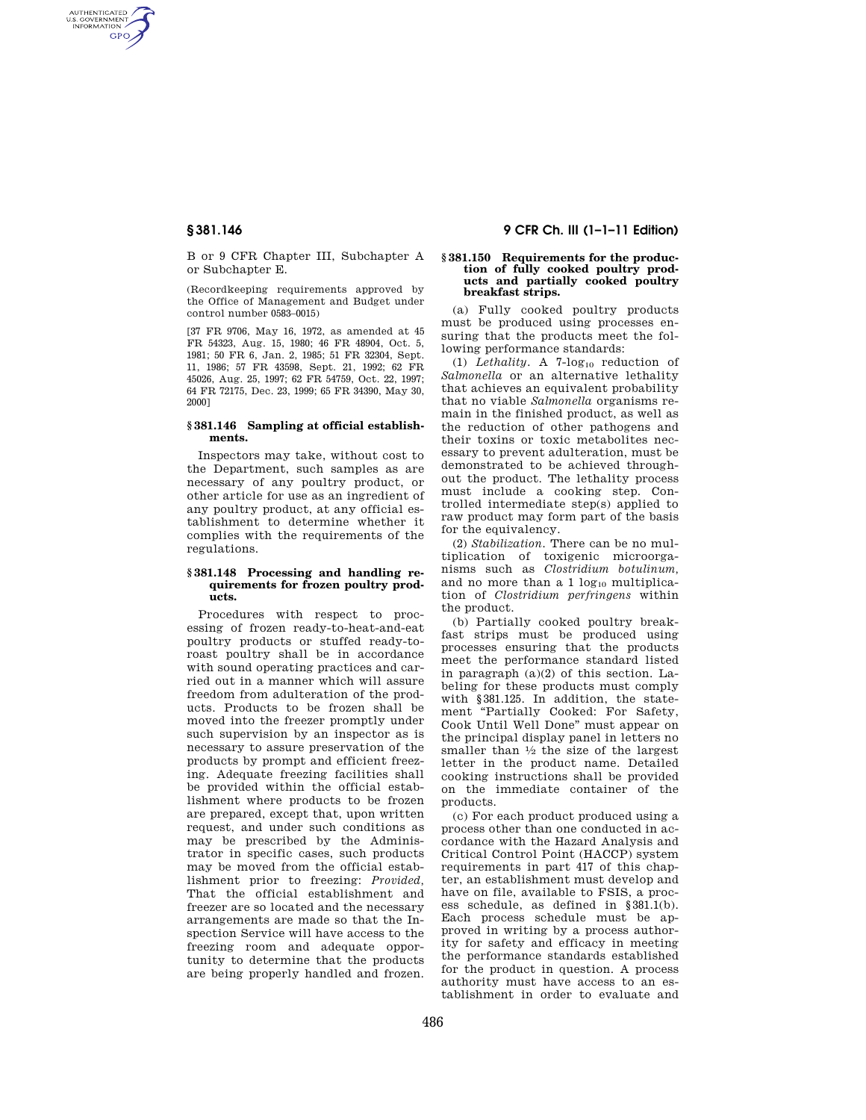AUTHENTICATED<br>U.S. GOVERNMENT<br>INFORMATION **GPO** 

> B or 9 CFR Chapter III, Subchapter A or Subchapter E.

> (Recordkeeping requirements approved by the Office of Management and Budget under control number 0583–0015)

> [37 FR 9706, May 16, 1972, as amended at 45 FR 54323, Aug. 15, 1980; 46 FR 48904, Oct. 5, 1981; 50 FR 6, Jan. 2, 1985; 51 FR 32304, Sept. 11, 1986; 57 FR 43598, Sept. 21, 1992; 62 FR 45026, Aug. 25, 1997; 62 FR 54759, Oct. 22, 1997; 64 FR 72175, Dec. 23, 1999; 65 FR 34390, May 30, 2000]

# **§ 381.146 Sampling at official establishments.**

Inspectors may take, without cost to the Department, such samples as are necessary of any poultry product, or other article for use as an ingredient of any poultry product, at any official establishment to determine whether it complies with the requirements of the regulations.

## **§ 381.148 Processing and handling requirements for frozen poultry products.**

Procedures with respect to processing of frozen ready-to-heat-and-eat poultry products or stuffed ready-toroast poultry shall be in accordance with sound operating practices and carried out in a manner which will assure freedom from adulteration of the products. Products to be frozen shall be moved into the freezer promptly under such supervision by an inspector as is necessary to assure preservation of the products by prompt and efficient freezing. Adequate freezing facilities shall be provided within the official establishment where products to be frozen are prepared, except that, upon written request, and under such conditions as may be prescribed by the Administrator in specific cases, such products may be moved from the official establishment prior to freezing: *Provided,*  That the official establishment and freezer are so located and the necessary arrangements are made so that the Inspection Service will have access to the freezing room and adequate opportunity to determine that the products are being properly handled and frozen.

# **§ 381.146 9 CFR Ch. III (1–1–11 Edition)**

### **§ 381.150 Requirements for the production of fully cooked poultry products and partially cooked poultry breakfast strips.**

(a) Fully cooked poultry products must be produced using processes ensuring that the products meet the following performance standards:

(1) *Lethality*. A  $7$ -log<sub>10</sub> reduction of *Salmonella* or an alternative lethality that achieves an equivalent probability that no viable *Salmonella* organisms remain in the finished product, as well as the reduction of other pathogens and their toxins or toxic metabolites necessary to prevent adulteration, must be demonstrated to be achieved throughout the product. The lethality process must include a cooking step. Controlled intermediate step(s) applied to raw product may form part of the basis for the equivalency.

(2) *Stabilization.* There can be no multiplication of toxigenic microorganisms such as *Clostridium botulinum,*  and no more than a  $1 log_{10}$  multiplication of *Clostridium perfringens* within the product.

(b) Partially cooked poultry breakfast strips must be produced using processes ensuring that the products meet the performance standard listed in paragraph (a)(2) of this section. Labeling for these products must comply with §381.125. In addition, the statement "Partially Cooked: For Safety, Cook Until Well Done'' must appear on the principal display panel in letters no smaller than  $\frac{1}{2}$  the size of the largest letter in the product name. Detailed cooking instructions shall be provided on the immediate container of the products.

(c) For each product produced using a process other than one conducted in accordance with the Hazard Analysis and Critical Control Point (HACCP) system requirements in part 417 of this chapter, an establishment must develop and have on file, available to FSIS, a process schedule, as defined in §381.1(b). Each process schedule must be approved in writing by a process authority for safety and efficacy in meeting the performance standards established for the product in question. A process authority must have access to an establishment in order to evaluate and